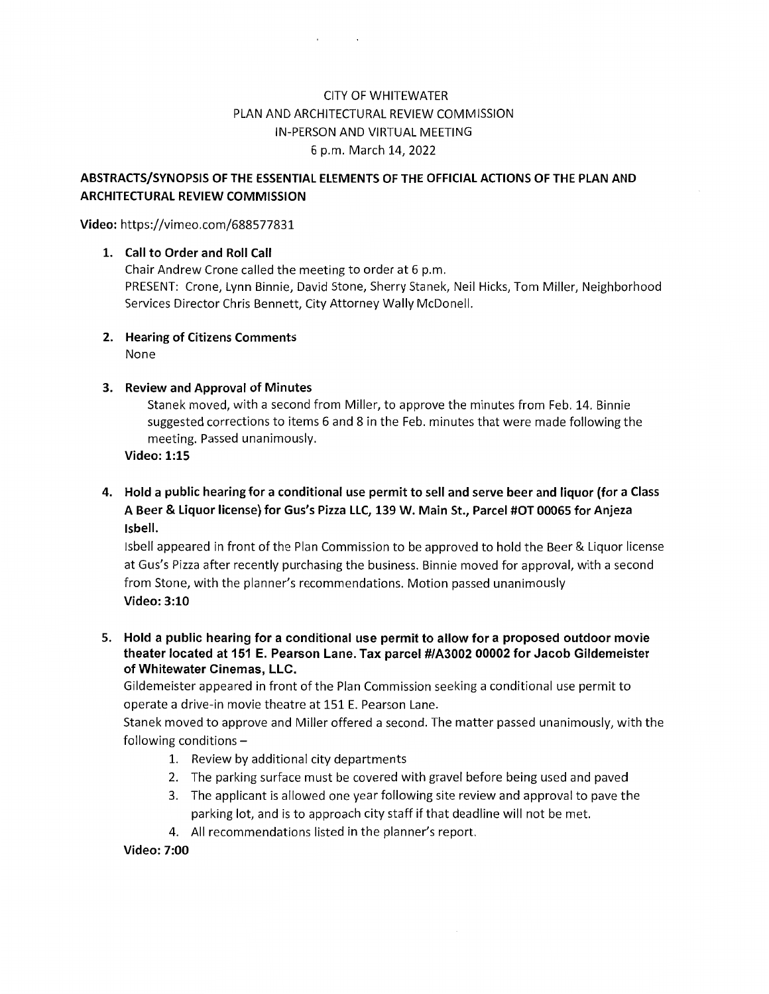## **CITY OF WHITEWATER** PLAN AND ARCHITECTURAL REVIEW COMMISSION IN-PERSON AND VIRTUAL MEETING <sup>6</sup> p.m. March 14, 2022

## ABSTRACTS/SYNOPSIS OF THE ESSENTIAL ELEMENTS OF THE OFFICIAL ACTIONS OF THE PLAN AND ARCHITECTURAL REVIEW COMMISSION

Video: https://vimeo.com/688577831

## 1. Call to Order and Roll Call

Chair Andrew Crone called the meeting to order at <sup>6</sup> p.m. PRESENT: Crone, Lynn Binnie, David Stone, Sherry Stanek, Neil Hicks, Tom Miller, Neighborhood Services Director Chris Bennett, City Attorney Wally McDonell.

2. Hearing of Citizens Comments None

## 3. Review and Approval of Minutes

Stanek moved, with <sup>a</sup> second from Miller, to approve the minutes from Feb. 14. Binnie suggested corrections to items 6 and 8 in the Feb. minutes that were made following the meeting. Passed unanimously.

Video: 1:15

4. Hold <sup>a</sup> public hearing for <sup>a</sup> conditional use permit to sell and serve beer and liquor (for <sup>a</sup> Class A Beer & Liquor license) for Gus's Pizza LLC, 139 W. Main St., Parcel #OT 00065 for Anjeza Isbell.

Isbell appeared in front of the Plan Commission to be approved to hold the Beer & Liquor license at Gus's Pizza after recently purchasing the business. Binnie moved for approval, with <sup>a</sup> second from Stone, with the planner's recommendations. Motion passed unanimously Video: 3:10

5. Hold <sup>a</sup> public hearing for <sup>a</sup> conditional use permit to allow for <sup>a</sup> proposed outdoor movie theater located at <sup>151</sup> E. Pearson Lane. Tax parcel #/A3002 00002 for Jacob Gildemeister ofWhitewater Cinemas, LLC.

Gildemeister appeared in front of the Plan Commission seeking a conditional use permit to operate a drive-in movie theatre at 151 E. Pearson Lane.

Stanek moved to approve and Miller offered <sup>a</sup> second. The matter passed unanimously, with the following conditions  $-$ 

- 1. Review by additional city departments
- 2. The parking surface must be covered with gravel before being used and paved
- 3. The applicant is allowed one year following site review and approval to pave the parking lot, and is to approach city staff if that deadline will not be met.
- 4. All recommendations listed in the planner's report.

Video: 7:00